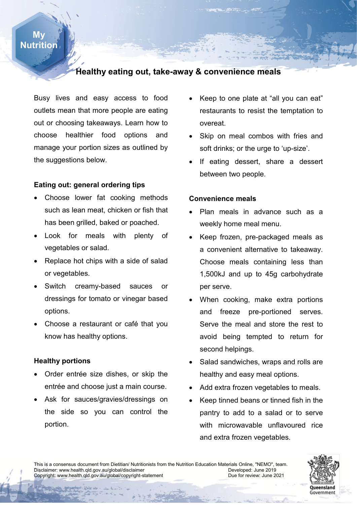## **My Nutrition**

# **Healthy eating out, take-away & convenience meals**

Busy lives and easy access to food outlets mean that more people are eating out or choosing takeaways. Learn how to choose healthier food options and manage your portion sizes as outlined by the suggestions below.

### **Eating out: general ordering tips**

- Choose lower fat cooking methods such as lean meat, chicken or fish that has been grilled, baked or poached.
- Look for meals with plenty of vegetables or salad.
- Replace hot chips with a side of salad or vegetables.
- Switch creamy-based sauces or dressings for tomato or vinegar based options.
- Choose a restaurant or café that you know has healthy options.

#### **Healthy portions**

- Order entrée size dishes, or skip the entrée and choose just a main course.
- Ask for sauces/gravies/dressings on the side so you can control the portion.
- Keep to one plate at "all you can eat" restaurants to resist the temptation to overeat.
- Skip on meal combos with fries and soft drinks; or the urge to 'up-size'.
- If eating dessert, share a dessert between two people.

#### **Convenience meals**

- Plan meals in advance such as a weekly home meal menu.
- **Number** • Keep frozen, pre-packaged meals as a convenient alternative to takeaway. Choose meals containing less than 1,500kJ and up to 45g carbohydrate per serve.
	- When cooking, make extra portions and freeze pre-portioned serves. Serve the meal and store the rest to avoid being tempted to return for second helpings.
	- Salad sandwiches, wraps and rolls are healthy and easy meal options.
	- Add extra frozen vegetables to meals.
	- Keep tinned beans or tinned fish in the pantry to add to a salad or to serve with microwavable unflavoured rice and extra frozen vegetables.

This is a consensus document from Dietitian/ Nutritionists from the Nutrition Education Materials Online, "NEMO", team.<br>Disclaimer: www.health.gld.gov.au/global/disclaimer Disclaimer: www.health.qld.gov.au/global/disclaimer<br>Copyright: www.health.qld.gov.au/global/copyright-statement Developed: Due for review: June 2021 Copyright: www.health.qld.gov.au/global/copyright-statement

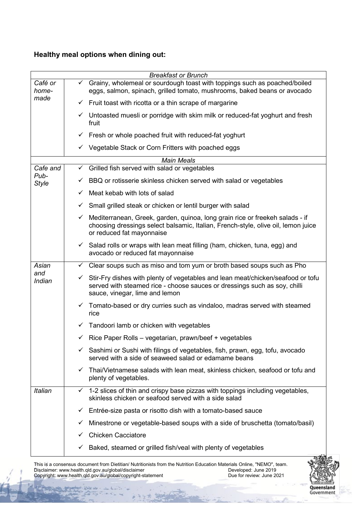## **Healthy meal options when dining out:**

|                                  |              | <b>Breakfast or Brunch</b>                                                                                                                                                                     |  |  |  |  |  |  |
|----------------------------------|--------------|------------------------------------------------------------------------------------------------------------------------------------------------------------------------------------------------|--|--|--|--|--|--|
| Café or                          | $\checkmark$ | Grainy, wholemeal or sourdough toast with toppings such as poached/boiled                                                                                                                      |  |  |  |  |  |  |
| home-                            |              | eggs, salmon, spinach, grilled tomato, mushrooms, baked beans or avocado                                                                                                                       |  |  |  |  |  |  |
| made                             |              | $\checkmark$ Fruit toast with ricotta or a thin scrape of margarine                                                                                                                            |  |  |  |  |  |  |
|                                  | $\checkmark$ | Untoasted muesli or porridge with skim milk or reduced-fat yoghurt and fresh<br>fruit                                                                                                          |  |  |  |  |  |  |
|                                  | ✓            | Fresh or whole poached fruit with reduced-fat yoghurt                                                                                                                                          |  |  |  |  |  |  |
|                                  | ✓            | Vegetable Stack or Corn Fritters with poached eggs                                                                                                                                             |  |  |  |  |  |  |
| <b>Main Meals</b>                |              |                                                                                                                                                                                                |  |  |  |  |  |  |
| Cafe and<br>Pub-<br><b>Style</b> | $\checkmark$ | Grilled fish served with salad or vegetables                                                                                                                                                   |  |  |  |  |  |  |
|                                  | ✓            | BBQ or rotisserie skinless chicken served with salad or vegetables                                                                                                                             |  |  |  |  |  |  |
|                                  | $\checkmark$ | Meat kebab with lots of salad                                                                                                                                                                  |  |  |  |  |  |  |
|                                  | ✓            | Small grilled steak or chicken or lentil burger with salad                                                                                                                                     |  |  |  |  |  |  |
|                                  | ✓            | Mediterranean, Greek, garden, quinoa, long grain rice or freekeh salads - if<br>choosing dressings select balsamic, Italian, French-style, olive oil, lemon juice<br>or reduced fat mayonnaise |  |  |  |  |  |  |
|                                  | $\checkmark$ | Salad rolls or wraps with lean meat filling (ham, chicken, tuna, egg) and<br>avocado or reduced fat mayonnaise                                                                                 |  |  |  |  |  |  |
| Asian<br>and<br>Indian           | $\checkmark$ | Clear soups such as miso and tom yum or broth based soups such as Pho                                                                                                                          |  |  |  |  |  |  |
|                                  | ✓            | Stir-Fry dishes with plenty of vegetables and lean meat/chicken/seafood or tofu<br>served with steamed rice - choose sauces or dressings such as soy, chilli<br>sauce, vinegar, lime and lemon |  |  |  |  |  |  |
|                                  |              | $\checkmark$ Tomato-based or dry curries such as vindaloo, madras served with steamed<br>rice                                                                                                  |  |  |  |  |  |  |
|                                  | ✓            | Tandoori lamb or chicken with vegetables                                                                                                                                                       |  |  |  |  |  |  |
|                                  |              | Rice Paper Rolls – vegetarian, prawn/beef + vegetables                                                                                                                                         |  |  |  |  |  |  |
|                                  | ✓            | Sashimi or Sushi with filings of vegetables, fish, prawn, egg, tofu, avocado<br>served with a side of seaweed salad or edamame beans                                                           |  |  |  |  |  |  |
|                                  | $\checkmark$ | Thai/Vietnamese salads with lean meat, skinless chicken, seafood or tofu and<br>plenty of vegetables.                                                                                          |  |  |  |  |  |  |
| <b>Italian</b>                   |              | $\checkmark$ 1-2 slices of thin and crispy base pizzas with toppings including vegetables,<br>skinless chicken or seafood served with a side salad                                             |  |  |  |  |  |  |
|                                  | ✓            | Entrée-size pasta or risotto dish with a tomato-based sauce                                                                                                                                    |  |  |  |  |  |  |
|                                  | ✓            | Minestrone or vegetable-based soups with a side of bruschetta (tomato/basil)                                                                                                                   |  |  |  |  |  |  |
|                                  | ✓            | <b>Chicken Cacciatore</b>                                                                                                                                                                      |  |  |  |  |  |  |
|                                  | ✓            | Baked, steamed or grilled fish/veal with plenty of vegetables                                                                                                                                  |  |  |  |  |  |  |

This is a consensus document from Dietitian/ Nutritionists from the Nutrition Education Materials Online, "NEMO", team. Disclaimer: www.health.qld.gov.au/global/disclaimer Developed: June 2019 Copyright: www.health.qld.gov.au/global/copyright-statement Due for review: June 2021